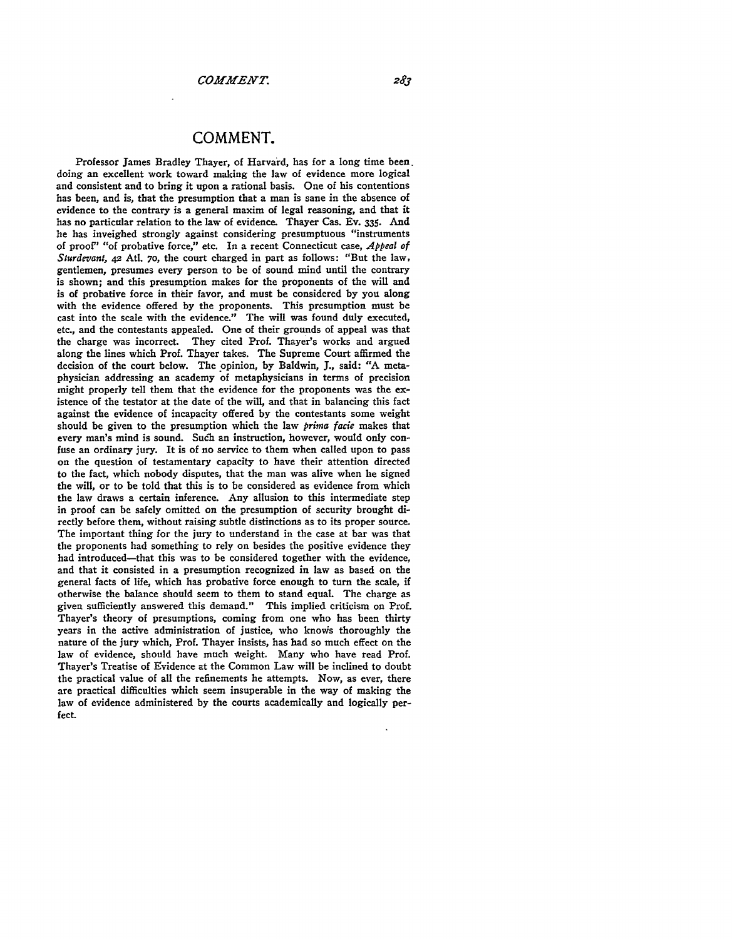Professor James Bradley Thayer, of Harvard, has for a long time been. doing an excellent work toward making the law of evidence more logical and consistent and to bring it upon a rational basis. One of his contentions has been, and is, that the presumption that a man is sane in the absence of evidence to the contrary is a general maxim of legal reasoning, and that it has no particular relation to the law of evidence. Thayer Cas. Ev. 335. And he has inveighed strongly against considering presumptuous "instruments of proof" "of probative force," etc. In a recent Connecticut case, *Appeal of* Sturdevant, 42 Atl. 70, the court charged in part as follows: "But the law, gentlemen, presumes every person to be of sound mind until the contrary is shown; and this presumption makes for the proponents of the will and is of probative force in their favor, and must be considered by you along with the evidence offered by the proponents. This presumption must be cast into the scale with the evidence." The will was found duly executed, etc., and the contestants appealed. One of their grounds of appeal was that the charge was incorrect. They cited Prof. Thayer's works and argued along the lines which Prof. Thayer takes. The Supreme Court affirmed the decision of the court below. The opinion, **by** Baldwin, **J.,** said: "A metaphysician addressing an academy of metaphysicians in terms of precision might properly tell them that the evidence for the proponents was the existence of the testator at the date of the will, and that in balancing this fact against the evidence of incapacity offered **by** the contestants some weight should be given to the presumption which the law *prima facie* makes that every man's mind is sound. Such an instruction, however, would only confuse an ordinary jury. It is of no service to them when called upon to pass on the question of testamentary capacity to have their attention directed to the fact, which nobody disputes, that the man was alive when he signed the will, or to be told that this is to be considered as evidence from which the law draws a certain inference. Any allusion to this intermediate step in proof can be safely omitted on the presumption of security brought directly before them, without raising subtle distinctions as to its proper source. The important thing for the jury to understand in the case at bar was that the proponents had something to rely on besides the positive evidence they had introduced-that this was to be considered together with the evidence, and that it consisted in a presumption recognized in law as based on the general facts of life, which has probative force enough to turn the scale, if otherwise the balance should seem to them to stand equal. The charge as given sufficiently answered this demand." This implied criticism on Prof. Thayer's theory of presumptions, coming from one who has been thirty years in the active administration of justice, who knows thoroughly the nature of the jury which, Prof. Thayer insists, has had so much effect on the law of evidence, should have much weight. Many who have read Prof. Thayer's Treatise of Evidence at the Common Law will be inclined to doubt the practical value of all the refinements he attempts. Now, as ever, there are practical difficulties which seem insuperable in the way of making the law of evidence administered **by** the courts academically and logically perfect.